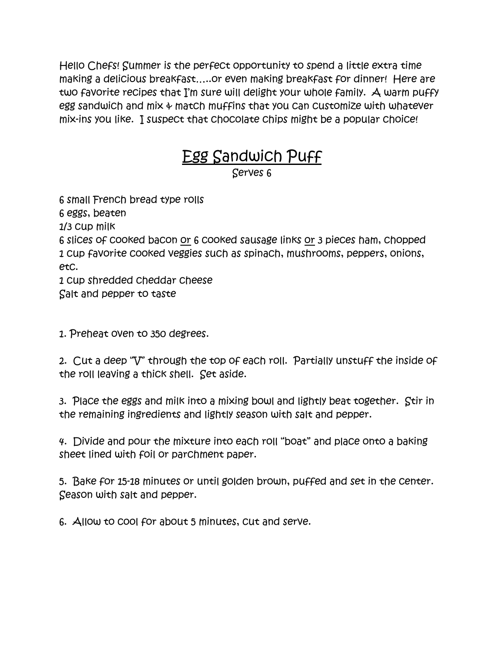Hello Chefs! Summer is the perfect opportunity to spend a little extra time making a delicious breakfast…..or even making breakfast for dinner! Here are two favorite recipes that I'm sure will delight your whole family. A warm puffy egg sandwich and mix & match muffins that you can customize with whatever mix-ins you like. I suspect that chocolate chips might be a popular choice!

## <u>Egg Sandwich Puff</u>

Serves 6

6 small French bread type rolls 6 eggs, beaten 1/3 cup milk 6 slices of cooked bacon or 6 cooked sausage links or 3 pieces ham, chopped 1 cup favorite cooked veggies such as spinach, mushrooms, peppers, onions, etc. 1 cup shredded cheddar cheese

Salt and pepper to taste

1. Preheat oven to 350 degrees.

2. Cut a deep "V" through the top of each roll. Partially unstuff the inside of the roll leaving a thick shell. Set aside.

3. Place the eggs and milk into a mixing bowl and lightly beat together. Stir in the remaining ingredients and lightly season with salt and pepper.

4. Divide and pour the mixture into each roll "boat" and place onto a baking sheet lined with foil or parchment paper.

5. Bake for 15-18 minutes or until golden brown, puffed and set in the center. Season with salt and pepper.

6. Allow to cool for about 5 minutes, cut and serve.